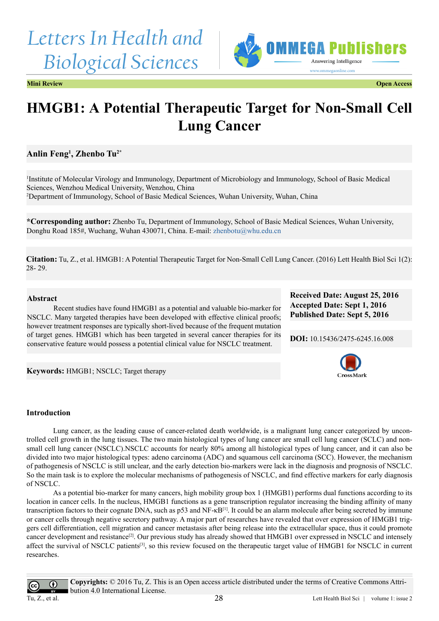# *Letters In Health and Biological Sciences*



**Mini Review Open Access**

## **HMGB1: A Potential Therapeutic Target for Non-Small Cell Lung Cancer**

### **Anlin Feng1 , Zhenbo Tu2\***

1 Institute of Molecular Virology and Immunology, Department of Microbiology and Immunology, School of Basic Medical Sciences, Wenzhou Medical University, Wenzhou, China 2 Department of Immunology, School of Basic Medical Sciences, Wuhan University, Wuhan, China

**\*Corresponding author:** Zhenbo Tu, Department of Immunology, School of Basic Medical Sciences, Wuhan University, Donghu Road 185#, Wuchang, Wuhan 430071, China. E-mail: [zhenbotu@whu.edu.cn](mailto:zhenbotu@whu.edu.cn)

**Citation:** Tu, Z., et al. HMGB1: A Potential Therapeutic Target for Non-Small Cell Lung Cancer. (2016) Lett Health Biol Sci 1(2): 28- 29.

#### **Abstract**

Recent studies have found HMGB1 as a potential and valuable bio-marker for NSCLC. Many targeted therapies have been developed with effective clinical proofs; however treatment responses are typically short-lived because of the frequent mutation of target genes. HMGB1 which has been targeted in several cancer therapies for its conservative feature would possess a potential clinical value for NSCLC treatment.

**Received Date: August 25, 2016 Accepted Date: Sept 1, 2016 Published Date: Sept 5, 2016**

**DOI:** [10.15436/2475-6245.16.0](https://doi.org/10.15436/2475-6245.16.008
)08



**Keywords:** HMGB1; NSCLC; Target therapy

#### **Introduction**

Lung cancer, as the leading cause of cancer-related death worldwide, is a malignant lung cancer categorized by uncontrolled cell growth in the lung tissues. The two main histological types of lung cancer are small cell lung cancer (SCLC) and nonsmall cell lung cancer (NSCLC).NSCLC accounts for nearly 80% among all histological types of lung cancer, and it can also be divided into two major histological types: adeno carcinoma (ADC) and squamous cell carcinoma (SCC). However, the mechanism of pathogenesis of NSCLC is still unclear, and the early detection bio-markers were lack in the diagnosis and prognosis of NSCLC. So the main task is to explore the molecular mechanisms of pathogenesis of NSCLC, and find effective markers for early diagnosis of NSCLC.

As a potential bio-marker for many cancers, high mobility group box 1 (HMGB1) performs dual functions according to its location in cancer cells. In the nucleus, HMGB1 functions as a gene transcription regulator increasing the binding affinity of many transcription factors to their cognate DNA, such as p53 and NF-κB[\[1\].](#page-1-0) It could be an alarm molecule after being secreted by immune or cancer cells through negative secretory pathway. A major part of researches have revealed that over expression of HMGB1 triggers cell differentiation, cell migration and cancer metastasis after being release into the extracellular space, thus it could promote cancer development and resistance<sup>[\[2\]](#page-1-1)</sup>. Our previous study has already showed that HMGB1 over expressed in NSCLC and intensely affect the survival of NSCLC patients[\[3\]](#page-1-2), so this review focused on the therapeutic target value of HMGB1 for NSCLC in current researches.

 $\bf{r}$ 

**Copyrights:** © 2016 Tu, Z. This is an Open access article distributed under the terms of Creative Commons Attribution 4.0 International License.

Tu, Z., et al.